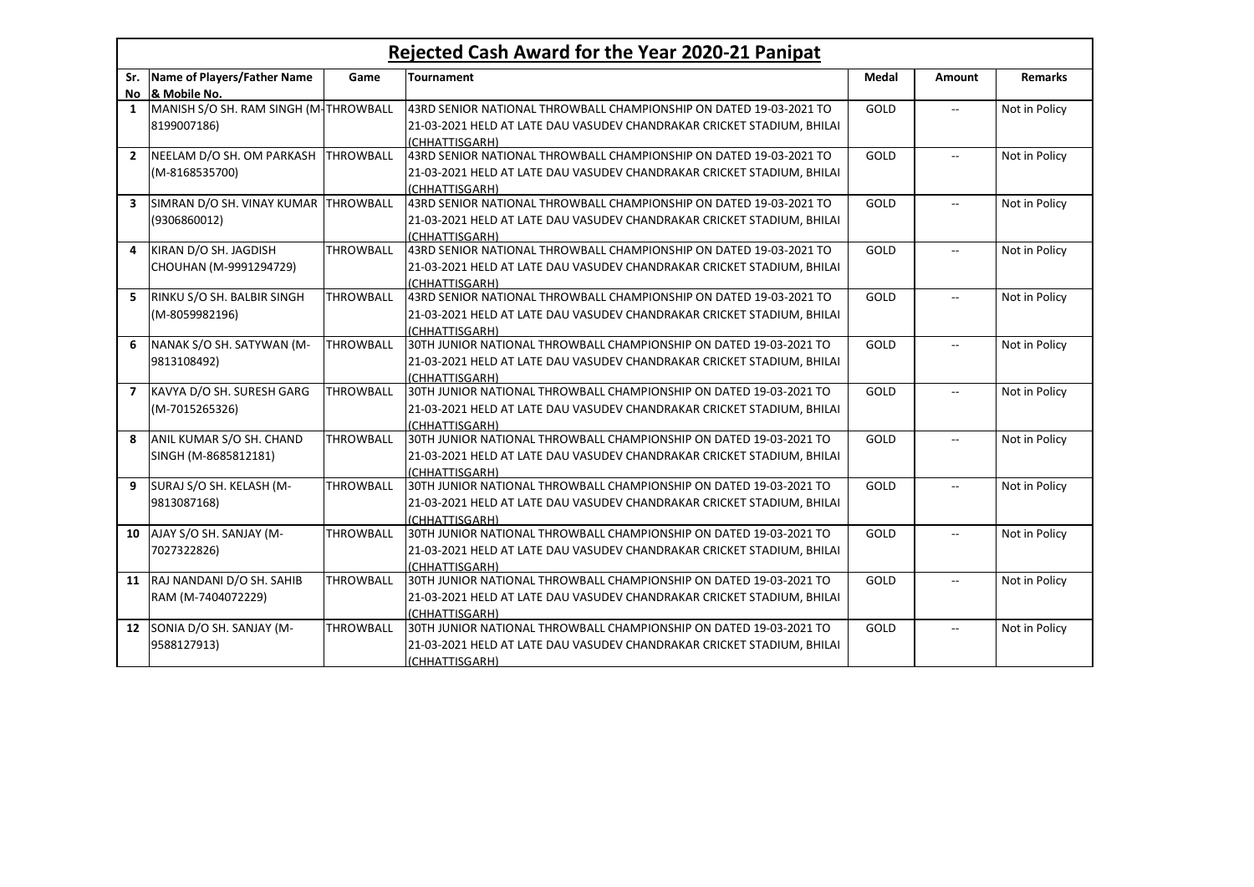| Rejected Cash Award for the Year 2020-21 Panipat |                                       |                  |                                                                        |              |                          |                |
|--------------------------------------------------|---------------------------------------|------------------|------------------------------------------------------------------------|--------------|--------------------------|----------------|
| Sr.                                              | Name of Players/Father Name           | Game             | Tournament                                                             | <b>Medal</b> | <b>Amount</b>            | <b>Remarks</b> |
| No                                               | & Mobile No.                          |                  |                                                                        |              |                          |                |
| 1                                                | MANISH S/O SH. RAM SINGH (M-THROWBALL |                  | 43RD SENIOR NATIONAL THROWBALL CHAMPIONSHIP ON DATED 19-03-2021 TO     | GOLD         | $\overline{\phantom{a}}$ | Not in Policy  |
|                                                  | 8199007186)                           |                  | 21-03-2021 HELD AT LATE DAU VASUDEV CHANDRAKAR CRICKET STADIUM, BHILAI |              |                          |                |
|                                                  |                                       |                  | (CHHATTISGARH)                                                         |              |                          |                |
| $\overline{2}$                                   | NEELAM D/O SH. OM PARKASH             | <b>THROWBALL</b> | 43RD SENIOR NATIONAL THROWBALL CHAMPIONSHIP ON DATED 19-03-2021 TO     | GOLD         | $\overline{a}$           | Not in Policy  |
|                                                  | (M-8168535700)                        |                  | 21-03-2021 HELD AT LATE DAU VASUDEV CHANDRAKAR CRICKET STADIUM, BHILAI |              |                          |                |
|                                                  |                                       |                  | (CHHATTISGARH)                                                         |              |                          |                |
| $\overline{\mathbf{3}}$                          | SIMRAN D/O SH. VINAY KUMAR THROWBALL  |                  | 43RD SENIOR NATIONAL THROWBALL CHAMPIONSHIP ON DATED 19-03-2021 TO     | GOLD         | $\sim$                   | Not in Policy  |
|                                                  | (9306860012)                          |                  | 21-03-2021 HELD AT LATE DAU VASUDEV CHANDRAKAR CRICKET STADIUM, BHILAI |              |                          |                |
|                                                  |                                       |                  | (CHHATTISGARH)                                                         |              |                          |                |
| 4                                                | KIRAN D/O SH. JAGDISH                 | <b>THROWBALL</b> | 43RD SENIOR NATIONAL THROWBALL CHAMPIONSHIP ON DATED 19-03-2021 TO     | GOLD         | $\overline{\phantom{a}}$ | Not in Policy  |
|                                                  | CHOUHAN (M-9991294729)                |                  | 21-03-2021 HELD AT LATE DAU VASUDEV CHANDRAKAR CRICKET STADIUM, BHILAI |              |                          |                |
|                                                  |                                       |                  | (CHHATTISGARH)                                                         |              |                          |                |
| 5                                                | RINKU S/O SH. BALBIR SINGH            | <b>THROWBALL</b> | 43RD SENIOR NATIONAL THROWBALL CHAMPIONSHIP ON DATED 19-03-2021 TO     | GOLD         | $\sim$                   | Not in Policy  |
|                                                  | (M-8059982196)                        |                  | 21-03-2021 HELD AT LATE DAU VASUDEV CHANDRAKAR CRICKET STADIUM, BHILAI |              |                          |                |
|                                                  |                                       |                  | (CHHATTISGARH)                                                         |              |                          |                |
| 6                                                | NANAK S/O SH. SATYWAN (M-             | <b>THROWBALL</b> | 30TH JUNIOR NATIONAL THROWBALL CHAMPIONSHIP ON DATED 19-03-2021 TO     | GOLD         | $\overline{a}$           | Not in Policy  |
|                                                  | 9813108492)                           |                  | 21-03-2021 HELD AT LATE DAU VASUDEV CHANDRAKAR CRICKET STADIUM, BHILAI |              |                          |                |
|                                                  |                                       |                  | (CHHATTISGARH)                                                         |              |                          |                |
| $\overline{ }$                                   | KAVYA D/O SH. SURESH GARG             | <b>THROWBALL</b> | 30TH JUNIOR NATIONAL THROWBALL CHAMPIONSHIP ON DATED 19-03-2021 TO     | GOLD         | $\sim$                   | Not in Policy  |
|                                                  | (M-7015265326)                        |                  | 21-03-2021 HELD AT LATE DAU VASUDEV CHANDRAKAR CRICKET STADIUM, BHILAI |              |                          |                |
|                                                  |                                       |                  | (CHHATTISGARH)                                                         |              |                          |                |
| 8                                                | ANIL KUMAR S/O SH. CHAND              | <b>THROWBALL</b> | 30TH JUNIOR NATIONAL THROWBALL CHAMPIONSHIP ON DATED 19-03-2021 TO     | GOLD         | $\sim$                   | Not in Policy  |
|                                                  | SINGH (M-8685812181)                  |                  | 21-03-2021 HELD AT LATE DAU VASUDEV CHANDRAKAR CRICKET STADIUM, BHILAI |              |                          |                |
|                                                  |                                       |                  | (CHHATTISGARH)                                                         |              |                          |                |
| 9                                                | SURAJ S/O SH. KELASH (M-              | <b>THROWBALL</b> | 30TH JUNIOR NATIONAL THROWBALL CHAMPIONSHIP ON DATED 19-03-2021 TO     | GOLD         | $\overline{\phantom{a}}$ | Not in Policy  |
|                                                  | 9813087168)                           |                  | 21-03-2021 HELD AT LATE DAU VASUDEV CHANDRAKAR CRICKET STADIUM, BHILAI |              |                          |                |
|                                                  |                                       |                  | (CHHATTISGARH)                                                         |              |                          |                |
| 10                                               | AJAY S/O SH. SANJAY (M-               | <b>THROWBALL</b> | 30TH JUNIOR NATIONAL THROWBALL CHAMPIONSHIP ON DATED 19-03-2021 TO     | GOLD         | $\overline{\phantom{a}}$ | Not in Policy  |
|                                                  | 7027322826)                           |                  | 21-03-2021 HELD AT LATE DAU VASUDEV CHANDRAKAR CRICKET STADIUM, BHILAI |              |                          |                |
|                                                  |                                       |                  | (CHHATTISGARH)                                                         |              |                          |                |
| 11                                               | RAJ NANDANI D/O SH. SAHIB             | <b>THROWBALL</b> | 30TH JUNIOR NATIONAL THROWBALL CHAMPIONSHIP ON DATED 19-03-2021 TO     | GOLD         | $\overline{a}$           | Not in Policy  |
|                                                  | RAM (M-7404072229)                    |                  | 21-03-2021 HELD AT LATE DAU VASUDEV CHANDRAKAR CRICKET STADIUM, BHILAI |              |                          |                |
|                                                  |                                       |                  | (CHHATTISGARH)                                                         |              |                          |                |
| $12 \overline{ }$                                | SONIA D/O SH. SANJAY (M-              | <b>THROWBALL</b> | 30TH JUNIOR NATIONAL THROWBALL CHAMPIONSHIP ON DATED 19-03-2021 TO     | GOLD         | $\sim$ $\sim$            | Not in Policy  |
|                                                  | 9588127913)                           |                  | 21-03-2021 HELD AT LATE DAU VASUDEV CHANDRAKAR CRICKET STADIUM, BHILAI |              |                          |                |
|                                                  |                                       |                  | (CHHATTISGARH)                                                         |              |                          |                |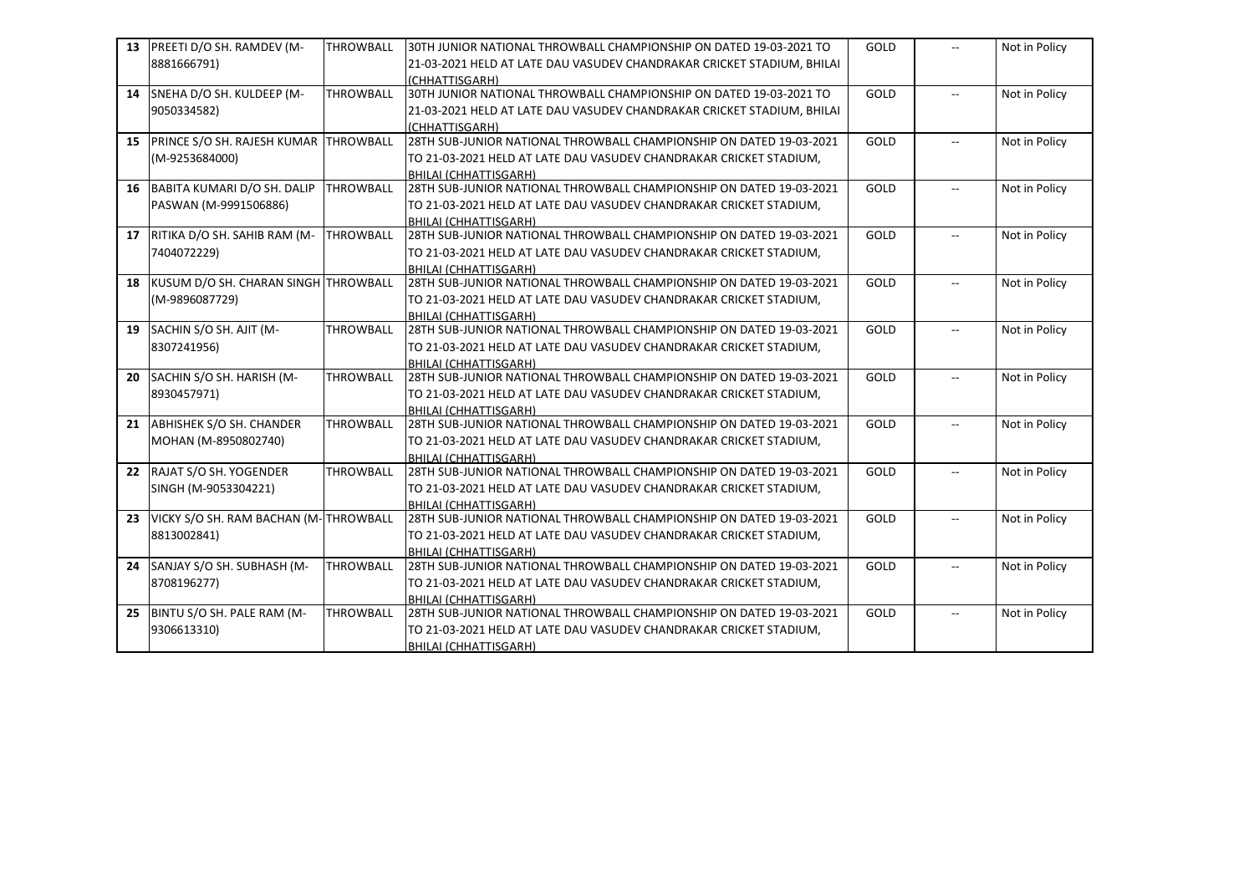| 13 | PREETI D/O SH. RAMDEV (M-                | <b>THROWBALL</b> | 30TH JUNIOR NATIONAL THROWBALL CHAMPIONSHIP ON DATED 19-03-2021 TO     | GOLD        | $\overline{a}$           | Not in Policy |
|----|------------------------------------------|------------------|------------------------------------------------------------------------|-------------|--------------------------|---------------|
|    | 8881666791)                              |                  | 21-03-2021 HELD AT LATE DAU VASUDEV CHANDRAKAR CRICKET STADIUM, BHILAI |             |                          |               |
|    |                                          |                  | (CHHATTISGARH)                                                         |             |                          |               |
|    | 14 SNEHA D/O SH. KULDEEP (M-             | <b>THROWBALL</b> | 30TH JUNIOR NATIONAL THROWBALL CHAMPIONSHIP ON DATED 19-03-2021 TO     | GOLD        | $\overline{a}$           | Not in Policy |
|    | 9050334582)                              |                  | 21-03-2021 HELD AT LATE DAU VASUDEV CHANDRAKAR CRICKET STADIUM, BHILAI |             |                          |               |
|    |                                          |                  | (CHHATTISGARH)                                                         |             |                          |               |
| 15 | PRINCE S/O SH. RAJESH KUMAR THROWBALL    |                  | 28TH SUB-JUNIOR NATIONAL THROWBALL CHAMPIONSHIP ON DATED 19-03-2021    | GOLD        | $\overline{a}$           | Not in Policy |
|    | (M-9253684000)                           |                  | TO 21-03-2021 HELD AT LATE DAU VASUDEV CHANDRAKAR CRICKET STADIUM,     |             |                          |               |
|    |                                          |                  | <b>BHILAI (CHHATTISGARH)</b>                                           |             |                          |               |
| 16 | BABITA KUMARI D/O SH. DALIP              | <b>THROWBALL</b> | 28TH SUB-JUNIOR NATIONAL THROWBALL CHAMPIONSHIP ON DATED 19-03-2021    | GOLD        | $\overline{a}$           | Not in Policy |
|    | PASWAN (M-9991506886)                    |                  | TO 21-03-2021 HELD AT LATE DAU VASUDEV CHANDRAKAR CRICKET STADIUM,     |             |                          |               |
|    |                                          |                  | <b>BHILAI (CHHATTISGARH)</b>                                           |             |                          |               |
|    | 17 RITIKA D/O SH. SAHIB RAM (M-          | <b>THROWBALL</b> | 28TH SUB-JUNIOR NATIONAL THROWBALL CHAMPIONSHIP ON DATED 19-03-2021    | GOLD        | $\overline{a}$           | Not in Policy |
|    | 7404072229)                              |                  | TO 21-03-2021 HELD AT LATE DAU VASUDEV CHANDRAKAR CRICKET STADIUM,     |             |                          |               |
|    |                                          |                  | <b>BHILAI (CHHATTISGARH)</b>                                           |             |                          |               |
| 18 | KUSUM D/O SH. CHARAN SINGH THROWBALL     |                  | 28TH SUB-JUNIOR NATIONAL THROWBALL CHAMPIONSHIP ON DATED 19-03-2021    | GOLD        | $\overline{\phantom{a}}$ | Not in Policy |
|    | (M-9896087729)                           |                  | TO 21-03-2021 HELD AT LATE DAU VASUDEV CHANDRAKAR CRICKET STADIUM,     |             |                          |               |
|    |                                          |                  | <b>BHILAI (CHHATTISGARH)</b>                                           |             |                          |               |
| 19 | SACHIN S/O SH. AJIT (M-                  | <b>THROWBALL</b> | 28TH SUB-JUNIOR NATIONAL THROWBALL CHAMPIONSHIP ON DATED 19-03-2021    | GOLD        | $\overline{a}$           | Not in Policy |
|    | 8307241956)                              |                  | TO 21-03-2021 HELD AT LATE DAU VASUDEV CHANDRAKAR CRICKET STADIUM,     |             |                          |               |
|    |                                          |                  | <b>BHILAI (CHHATTISGARH)</b>                                           |             |                          |               |
|    | 20 SACHIN S/O SH. HARISH (M-             | <b>THROWBALL</b> | 28TH SUB-JUNIOR NATIONAL THROWBALL CHAMPIONSHIP ON DATED 19-03-2021    | GOLD        | $\overline{\phantom{a}}$ | Not in Policy |
|    | 8930457971)                              |                  | TO 21-03-2021 HELD AT LATE DAU VASUDEV CHANDRAKAR CRICKET STADIUM,     |             |                          |               |
|    |                                          |                  | <b>BHILAI (CHHATTISGARH)</b>                                           |             |                          |               |
| 21 | <b>ABHISHEK S/O SH. CHANDER</b>          | THROWBALL        | 28TH SUB-JUNIOR NATIONAL THROWBALL CHAMPIONSHIP ON DATED 19-03-2021    | GOLD        | $\overline{a}$           | Not in Policy |
|    | MOHAN (M-8950802740)                     |                  | TO 21-03-2021 HELD AT LATE DAU VASUDEV CHANDRAKAR CRICKET STADIUM,     |             |                          |               |
|    |                                          |                  | <b>BHILAI (CHHATTISGARH)</b>                                           |             |                          |               |
| 22 | RAJAT S/O SH. YOGENDER                   | <b>THROWBALL</b> | 28TH SUB-JUNIOR NATIONAL THROWBALL CHAMPIONSHIP ON DATED 19-03-2021    | GOLD        | $\overline{a}$           | Not in Policy |
|    | SINGH (M-9053304221)                     |                  | TO 21-03-2021 HELD AT LATE DAU VASUDEV CHANDRAKAR CRICKET STADIUM,     |             |                          |               |
|    |                                          |                  | <b>BHILAI (CHHATTISGARH)</b>                                           |             |                          |               |
|    | 23 VICKY S/O SH. RAM BACHAN (M-THROWBALL |                  | 28TH SUB-JUNIOR NATIONAL THROWBALL CHAMPIONSHIP ON DATED 19-03-2021    | <b>GOLD</b> | $\overline{\phantom{a}}$ | Not in Policy |
|    | 8813002841)                              |                  | TO 21-03-2021 HELD AT LATE DAU VASUDEV CHANDRAKAR CRICKET STADIUM,     |             |                          |               |
|    |                                          |                  | <b>BHILAI (CHHATTISGARH)</b>                                           |             |                          |               |
| 24 | SANJAY S/O SH. SUBHASH (M-               | <b>THROWBALL</b> | 28TH SUB-JUNIOR NATIONAL THROWBALL CHAMPIONSHIP ON DATED 19-03-2021    | GOLD        | $\overline{a}$           | Not in Policy |
|    | 8708196277)                              |                  | TO 21-03-2021 HELD AT LATE DAU VASUDEV CHANDRAKAR CRICKET STADIUM,     |             |                          |               |
|    |                                          |                  | <b>BHILAI (CHHATTISGARH)</b>                                           |             |                          |               |
| 25 | BINTU S/O SH. PALE RAM (M-               | THROWBALL        | 28TH SUB-JUNIOR NATIONAL THROWBALL CHAMPIONSHIP ON DATED 19-03-2021    | GOLD        | $\overline{\phantom{a}}$ | Not in Policy |
|    | 9306613310)                              |                  | TO 21-03-2021 HELD AT LATE DAU VASUDEV CHANDRAKAR CRICKET STADIUM,     |             |                          |               |
|    |                                          |                  | BHILAI (CHHATTISGARH)                                                  |             |                          |               |